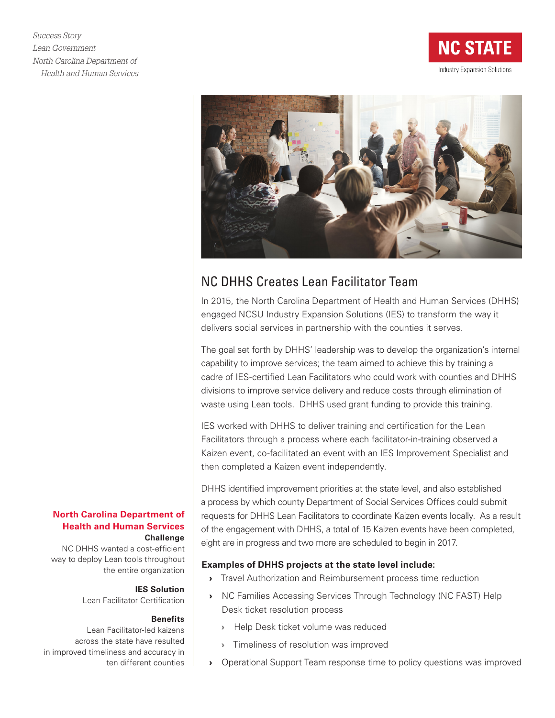*Success Story Lean Government North Carolina Department of Health and Human Services*





# NC DHHS Creates Lean Facilitator Team

In 2015, the North Carolina Department of Health and Human Services (DHHS) engaged NCSU Industry Expansion Solutions (IES) to transform the way it delivers social services in partnership with the counties it serves.

The goal set forth by DHHS' leadership was to develop the organization's internal capability to improve services; the team aimed to achieve this by training a cadre of IES-certified Lean Facilitators who could work with counties and DHHS divisions to improve service delivery and reduce costs through elimination of waste using Lean tools. DHHS used grant funding to provide this training.

IES worked with DHHS to deliver training and certification for the Lean Facilitators through a process where each facilitator-in-training observed a Kaizen event, co-facilitated an event with an IES Improvement Specialist and then completed a Kaizen event independently.

DHHS identified improvement priorities at the state level, and also established a process by which county Department of Social Services Offices could submit requests for DHHS Lean Facilitators to coordinate Kaizen events locally. As a result of the engagement with DHHS, a total of 15 Kaizen events have been completed, eight are in progress and two more are scheduled to begin in 2017.

## **Examples of DHHS projects at the state level include:**

- › Travel Authorization and Reimbursement process time reduction
- › NC Families Accessing Services Through Technology (NC FAST) Help Desk ticket resolution process
	- › Help Desk ticket volume was reduced
	- › Timeliness of resolution was improved
- › Operational Support Team response time to policy questions was improved

### **North Carolina Department of Health and Human Services Challenge**

NC DHHS wanted a cost-efficient way to deploy Lean tools throughout the entire organization

# **IES Solution**

Lean Facilitator Certification

#### **Benefits**

Lean Facilitator-led kaizens across the state have resulted in improved timeliness and accuracy in ten different counties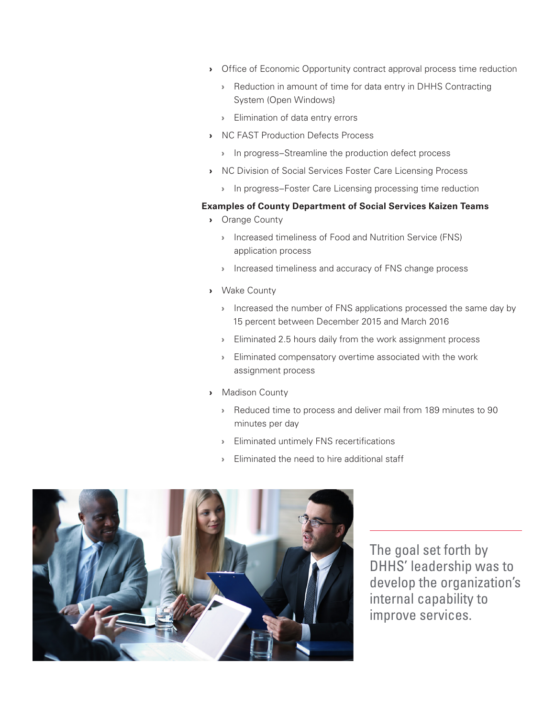- › Office of Economic Opportunity contract approval process time reduction
	- › Reduction in amount of time for data entry in DHHS Contracting System (Open Windows}
	- › Elimination of data entry errors
- › NC FAST Production Defects Process
	- › In progress–Streamline the production defect process
- › NC Division of Social Services Foster Care Licensing Process
	- › In progress–Foster Care Licensing processing time reduction

#### **Examples of County Department of Social Services Kaizen Teams**

- › Orange County
	- › Increased timeliness of Food and Nutrition Service (FNS) application process
	- › Increased timeliness and accuracy of FNS change process
- › Wake County
	- **Increased the number of FNS applications processed the same day by** 15 percent between December 2015 and March 2016
	- **Eliminated 2.5 hours daily from the work assignment process**
	- › Eliminated compensatory overtime associated with the work assignment process
- › Madison County
	- › Reduced time to process and deliver mail from 189 minutes to 90 minutes per day
	- › Eliminated untimely FNS recertifications
	- › Eliminated the need to hire additional staff



The goal set forth by DHHS' leadership was to develop the organization's internal capability to improve services.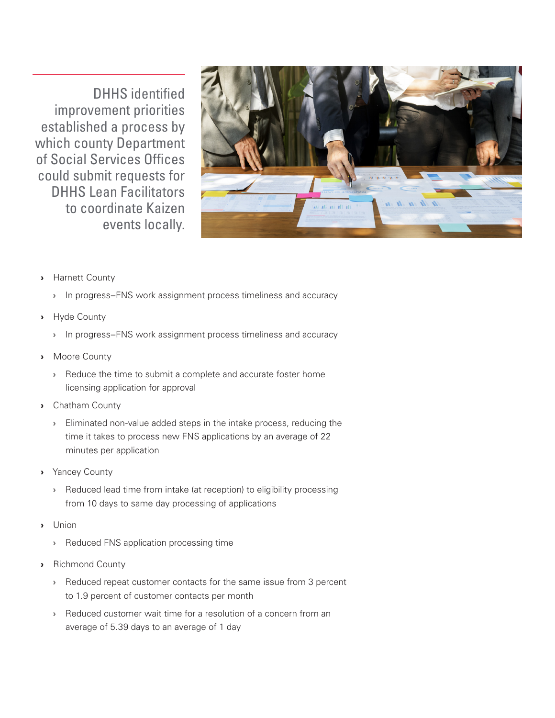DHHS identified improvement priorities established a process by which county Department of Social Services Offices could submit requests for DHHS Lean Facilitators to coordinate Kaizen events locally.



- › Harnett County
	- › In progress–FNS work assignment process timeliness and accuracy
- › Hyde County
	- › In progress–FNS work assignment process timeliness and accuracy
- › Moore County
	- › Reduce the time to submit a complete and accurate foster home licensing application for approval
- › Chatham County
	- › Eliminated non-value added steps in the intake process, reducing the time it takes to process new FNS applications by an average of 22 minutes per application
- › Yancey County
	- › Reduced lead time from intake (at reception) to eligibility processing from 10 days to same day processing of applications
- › Union
	- › Reduced FNS application processing time
- › Richmond County
	- › Reduced repeat customer contacts for the same issue from 3 percent to 1.9 percent of customer contacts per month
	- Reduced customer wait time for a resolution of a concern from an average of 5.39 days to an average of 1 day